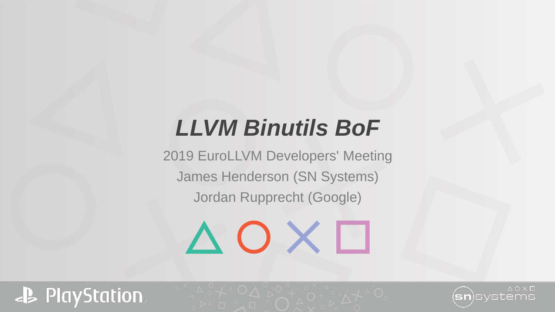## *LLVM Binutils BoF*

2019 EuroLLVM Developers' Meeting James Henderson (SN Systems) Jordan Rupprecht (Google)

 $\triangle$  O X  $\Box$ 



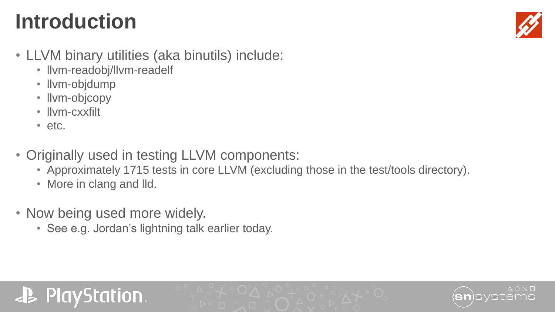# **Introduction**



- LLVM binary utilities (aka binutils) include:
	- llvm-readobj/llvm-readelf
	- llvm-objdump
	- llvm-objcopy
	- llvm-cxxfilt
	- etc.
- Originally used in testing LLVM components:
	- Approximately 1715 tests in core LLVM (excluding those in the test/tools directory).
	- More in clang and lld.
- Now being used more widely.
	- See e.g. Jordan's lightning talk earlier today.

#### **PlayStation**

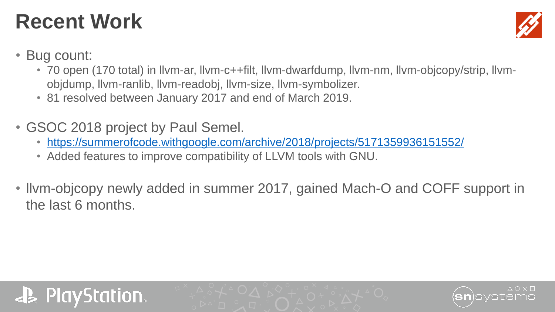#### **Recent Work**



- Bug count:
	- 70 open (170 total) in llvm-ar, llvm-c++filt, llvm-dwarfdump, llvm-nm, llvm-objcopy/strip, llvmobjdump, llvm-ranlib, llvm-readobj, llvm-size, llvm-symbolizer.
	- 81 resolved between January 2017 and end of March 2019.
- GSOC 2018 project by Paul Semel.
	- <https://summerofcode.withgoogle.com/archive/2018/projects/5171359936151552/>
	- Added features to improve compatibility of LLVM tools with GNU.
- llvm-objcopy newly added in summer 2017, gained Mach-O and COFF support in the last 6 months.



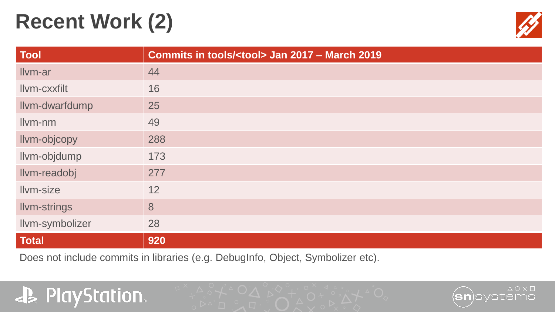# **Recent Work (2)**



| <b>Tool</b>         | Commits in tools/ <tool> Jan 2017 - March 2019</tool> |
|---------------------|-------------------------------------------------------|
| Ilvm-ar             | 44                                                    |
| Ilvm-cxxfilt        | 16                                                    |
| Ilvm-dwarfdump      | 25                                                    |
| Ilvm-nm             | 49                                                    |
| Ilvm-objcopy        | 288                                                   |
| Ilvm-objdump        | 173                                                   |
| Ilvm-readobj        | 277                                                   |
| Ilvm-size           | 12                                                    |
| <b>Ilvm-strings</b> | 8                                                     |
| Ilvm-symbolizer     | 28                                                    |
| <b>Total</b>        | 920                                                   |

Does not include commits in libraries (e.g. DebugInfo, Object, Symbolizer etc).

#### **JB** PlayStation.

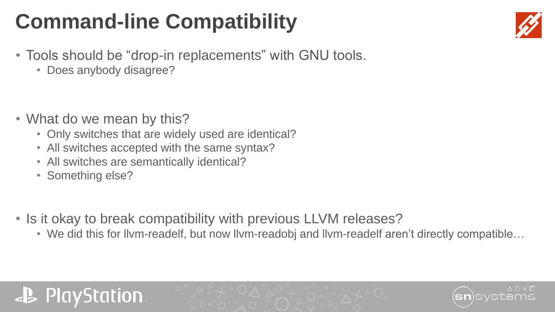# **Command-line Compatibility**

- Tools should be "drop-in replacements" with GNU tools.
	- Does anybody disagree?

- What do we mean by this?
	- Only switches that are widely used are identical?
	- All switches accepted with the same syntax?
	- All switches are semantically identical?
	- Something else?
- Is it okay to break compatibility with previous LLVM releases?
	- We did this for llvm-readelf, but now llvm-readobj and llvm-readelf aren't directly compatible…

#### **PlayStation**



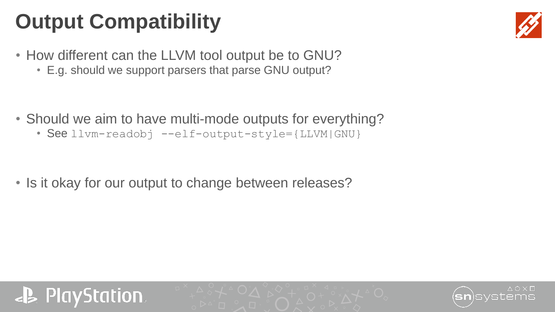# **Output Compatibility**



- How different can the LLVM tool output be to GNU?
	- E.g. should we support parsers that parse GNU output?

- Should we aim to have multi-mode outputs for everything?
	- See llvm-readobj --elf-output-style={LLVM|GNU}

• Is it okay for our output to change between releases?



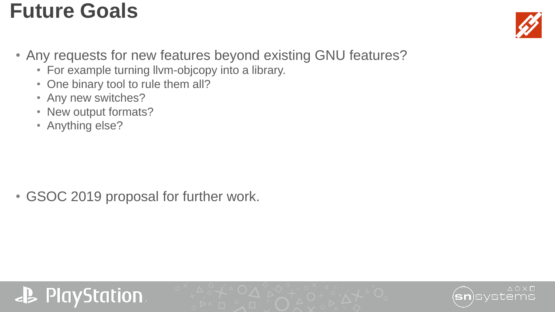#### **Future Goals**



- Any requests for new features beyond existing GNU features?
	- For example turning llvm-objcopy into a library.
	- One binary tool to rule them all?
	- Any new switches?
	- New output formats?
	- Anything else?

• GSOC 2019 proposal for further work.

#### **PayStation**